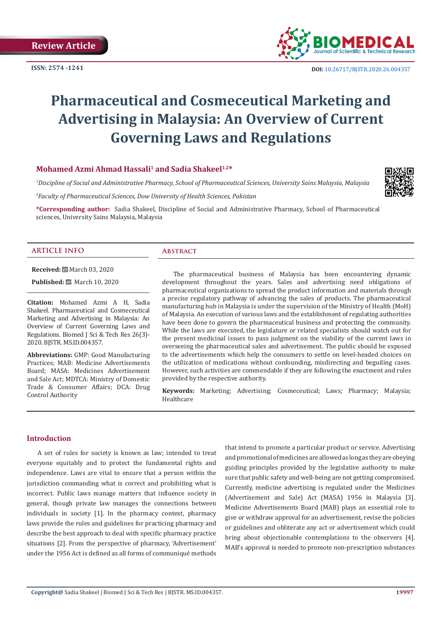

# **Pharmaceutical and Cosmeceutical Marketing and Advertising in Malaysia: An Overview of Current Governing Laws and Regulations**

# **Mohamed Azmi Ahmad Hassali<sup>1</sup> and Sadia Shakeel<sup>1,2\*</sup>**

*1 Discipline of Social and Administrative Pharmacy, School of Pharmaceutical Sciences, University Sains Malaysia, Malaysia*

*2 Faculty of Pharmaceutical Sciences, Dow University of Health Sciences, Pakistan*

**\*Corresponding author:** Sadia Shakeel, Discipline of Social and Administrative Pharmacy, School of Pharmaceutical sciences, University Sains Malaysia, Malaysia

# **ARTICLE INFO Abstract**

**Received:** March 03, 2020

**Published:** ■ March 10, 2020

**Citation:** Mohamed Azmi A H, Sadia Shakeel. Pharmaceutical and Cosmeceutical Marketing and Advertising in Malaysia: An Overview of Current Governing Laws and Regulations. Biomed J Sci & Tech Res 26(3)- 2020. BJSTR. MS.ID.004357.

**Abbreviations:** GMP: Good Manufacturing Practices; MAB: Medicine Advertisements Board; MASA: Medicines Advertisement and Sale Act; MDTCA: Ministry of Domestic Trade & Consumer Affairs; DCA: Drug Control Authority

The pharmaceutical business of Malaysia has been encountering dynamic development throughout the years. Sales and advertising need obligations of pharmaceutical organizations to spread the product information and materials through a precise regulatory pathway of advancing the sales of products. The pharmaceutical manufacturing hub in Malaysia is under the supervision of the Ministry of Health (MoH) of Malaysia. An execution of various laws and the establishment of regulating authorities have been done to govern the pharmaceutical business and protecting the community. While the laws are executed, the legislature or related specialists should watch out for the present medicinal issues to pass judgment on the viability of the current laws in overseeing the pharmaceutical sales and advertisement. The public should be exposed to the advertisements which help the consumers to settle on level-headed choices on the utilization of medications without confounding, misdirecting and beguiling cases. However, such activities are commendable if they are following the enactment and rules provided by the respective authority.

**Keywords:** Marketing; Advertising; Cosmeceutical; Laws; Pharmacy; Malaysia; Healthcare

# **Introduction**

A set of rules for society is known as law; intended to treat everyone equitably and to protect the fundamental rights and independence. Laws are vital to ensure that a person within the jurisdiction commanding what is correct and prohibiting what is incorrect. Public laws manage matters that influence society in general, though private law manages the connections between individuals in society [1]. In the pharmacy context, pharmacy laws provide the rules and guidelines for practicing pharmacy and describe the best approach to deal with specific pharmacy practice situations [2]. From the perspective of pharmacy, 'Advertisement' under the 1956 Act is defined as all forms of communiqué methods

that intend to promote a particular product or service. Advertising and promotional of medicines are allowed as long as they are obeying guiding principles provided by the legislative authority to make sure that public safety and well-being are not getting compromised. Currently, medicine advertising is regulated under the Medicines (Advertisement and Sale) Act (MASA) 1956 in Malaysia [3]. Medicine Advertisements Board (MAB) plays an essential role to give or withdraw approval for an advertisement, revise the policies or guidelines and obliterate any act or advertisement which could bring about objectionable contemplations to the observers [4]. MAB's approval is needed to promote non-prescription substances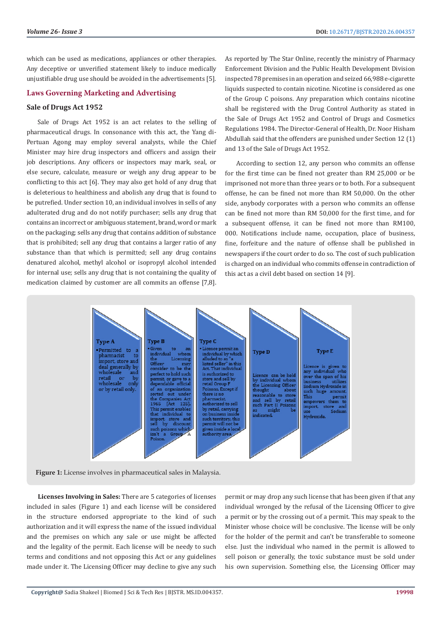which can be used as medications, appliances or other therapies. Any deceptive or unverified statement likely to induce medically unjustifiable drug use should be avoided in the advertisements [5].

# **Laws Governing Marketing and Advertising**

#### **Sale of Drugs Act 1952**

Sale of Drugs Act 1952 is an act relates to the selling of pharmaceutical drugs. In consonance with this act, the Yang di-Pertuan Agong may employ several analysts, while the Chief Minister may hire drug inspectors and officers and assign their job descriptions. Any officers or inspectors may mark, seal, or else secure, calculate, measure or weigh any drug appear to be conflicting to this act [6]. They may also get hold of any drug that is deleterious to healthiness and abolish any drug that is found to be putrefied. Under section 10, an individual involves in sells of any adulterated drug and do not notify purchaser; sells any drug that contains an incorrect or ambiguous statement, brand, word or mark on the packaging; sells any drug that contains addition of substance that is prohibited; sell any drug that contains a larger ratio of any substance than that which is permitted; sell any drug contains denatured alcohol, methyl alcohol or isopropyl alcohol intended for internal use; sells any drug that is not containing the quality of medication claimed by customer are all commits an offense [7,8].

As reported by The Star Online, recently the ministry of Pharmacy Enforcement Division and the Public Health Development Division inspected 78 premises in an operation and seized 66,988 e-cigarette liquids suspected to contain nicotine. Nicotine is considered as one of the Group C poisons. Any preparation which contains nicotine shall be registered with the Drug Control Authority as stated in the Sale of Drugs Act 1952 and Control of Drugs and Cosmetics Regulations 1984. The Director-General of Health, Dr. Noor Hisham Abdullah said that the offenders are punished under Section 12 (1) and 13 of the Sale of Drugs Act 1952.

According to section 12, any person who commits an offense for the first time can be fined not greater than RM 25,000 or be imprisoned not more than three years or to both. For a subsequent offense, he can be fined not more than RM 50,000. On the other side, anybody corporates with a person who commits an offense can be fined not more than RM 50,000 for the first time, and for a subsequent offense, it can be fined not more than RM100, 000. Notifications include name, occupation, place of business, fine, forfeiture and the nature of offense shall be published in newspapers if the court order to do so. The cost of such publication is charged on an individual who commits offense in contradiction of this act as a civil debt based on section 14 [9].



**Figure 1:** License involves in pharmaceutical sales in Malaysia.

**Licenses Involving in Sales:** There are 5 categories of licenses included in sales (Figure 1) and each license will be considered in the structure endorsed appropriate to the kind of such authorization and it will express the name of the issued individual and the premises on which any sale or use might be affected and the legality of the permit. Each license will be needy to such terms and conditions and not opposing this Act or any guidelines made under it. The Licensing Officer may decline to give any such

permit or may drop any such license that has been given if that any individual wronged by the refusal of the Licensing Officer to give a permit or by the crossing out of a permit. This may speak to the Minister whose choice will be conclusive. The license will be only for the holder of the permit and can't be transferable to someone else. Just the individual who named in the permit is allowed to sell poison or generally, the toxic substance must be sold under his own supervision. Something else, the Licensing Officer may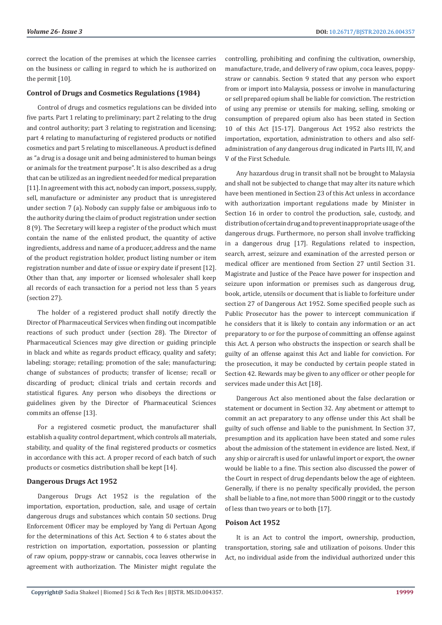correct the location of the premises at which the licensee carries on the business or calling in regard to which he is authorized on the permit [10].

# **Control of Drugs and Cosmetics Regulations (1984)**

Control of drugs and cosmetics regulations can be divided into five parts. Part 1 relating to preliminary; part 2 relating to the drug and control authority; part 3 relating to registration and licensing; part 4 relating to manufacturing of registered products or notified cosmetics and part 5 relating to miscellaneous. A product is defined as "a drug is a dosage unit and being administered to human beings or animals for the treatment purpose". It is also described as a drug that can be utilized as an ingredient needed for medical preparation [11]. In agreement with this act, nobody can import, possess, supply, sell, manufacture or administer any product that is unregistered under section 7 (a). Nobody can supply false or ambiguous info to the authority during the claim of product registration under section 8 (9). The Secretary will keep a register of the product which must contain the name of the enlisted product, the quantity of active ingredients, address and name of a producer, address and the name of the product registration holder, product listing number or item registration number and date of issue or expiry date if present [12]. Other than that, any importer or licensed wholesaler shall keep all records of each transaction for a period not less than 5 years (section 27).

The holder of a registered product shall notify directly the Director of Pharmaceutical Services when finding out incompatible reactions of such product under (section 28). The Director of Pharmaceutical Sciences may give direction or guiding principle in black and white as regards product efficacy, quality and safety; labeling; storage; retailing; promotion of the sale; manufacturing; change of substances of products; transfer of license; recall or discarding of product; clinical trials and certain records and statistical figures. Any person who disobeys the directions or guidelines given by the Director of Pharmaceutical Sciences commits an offense [13].

For a registered cosmetic product, the manufacturer shall establish a quality control department, which controls all materials, stability, and quality of the final registered products or cosmetics in accordance with this act. A proper record of each batch of such products or cosmetics distribution shall be kept [14].

#### **Dangerous Drugs Act 1952**

Dangerous Drugs Act 1952 is the regulation of the importation, exportation, production, sale, and usage of certain dangerous drugs and substances which contain 50 sections. Drug Enforcement Officer may be employed by Yang di Pertuan Agong for the determinations of this Act. Section 4 to 6 states about the restriction on importation, exportation, possession or planting of raw opium, poppy-straw or cannabis, coca leaves otherwise in agreement with authorization. The Minister might regulate the

controlling, prohibiting and confining the cultivation, ownership, manufacture, trade, and delivery of raw opium, coca leaves, poppystraw or cannabis. Section 9 stated that any person who export from or import into Malaysia, possess or involve in manufacturing or sell prepared opium shall be liable for conviction. The restriction of using any premise or utensils for making, selling, smoking or consumption of prepared opium also has been stated in Section 10 of this Act [15-17]. Dangerous Act 1952 also restricts the importation, exportation, administration to others and also selfadministration of any dangerous drug indicated in Parts III, IV, and V of the First Schedule.

Any hazardous drug in transit shall not be brought to Malaysia and shall not be subjected to change that may alter its nature which have been mentioned in Section 23 of this Act unless in accordance with authorization important regulations made by Minister in Section 16 in order to control the production, sale, custody, and distribution of certain drug and to prevent inappropriate usage of the dangerous drugs. Furthermore, no person shall involve trafficking in a dangerous drug [17]. Regulations related to inspection, search, arrest, seizure and examination of the arrested person or medical officer are mentioned from Section 27 until Section 31. Magistrate and Justice of the Peace have power for inspection and seizure upon information or premises such as dangerous drug, book, article, utensils or document that is liable to forfeiture under section 27 of Dangerous Act 1952. Some specified people such as Public Prosecutor has the power to intercept communication if he considers that it is likely to contain any information or an act preparatory to or for the purpose of committing an offense against this Act. A person who obstructs the inspection or search shall be guilty of an offense against this Act and liable for conviction. For the prosecution, it may be conducted by certain people stated in Section 42. Rewards may be given to any officer or other people for services made under this Act [18].

Dangerous Act also mentioned about the false declaration or statement or document in Section 32. Any abetment or attempt to commit an act preparatory to any offense under this Act shall be guilty of such offense and liable to the punishment. In Section 37, presumption and its application have been stated and some rules about the admission of the statement in evidence are listed. Next, if any ship or aircraft is used for unlawful import or export, the owner would be liable to a fine. This section also discussed the power of the Court in respect of drug dependants below the age of eighteen. Generally, if there is no penalty specifically provided, the person shall be liable to a fine, not more than 5000 ringgit or to the custody of less than two years or to both [17].

# **Poison Act 1952**

It is an Act to control the import, ownership, production, transportation, storing, sale and utilization of poisons. Under this Act, no individual aside from the individual authorized under this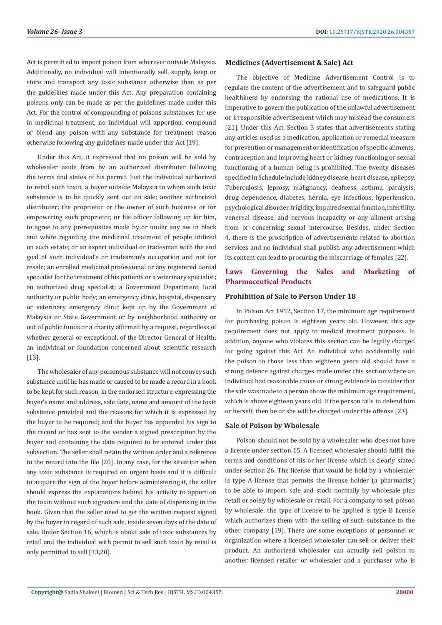Act is permitted to import poison from wherever outside Malaysia. Additionally, no individual will intentionally sell, supply, keep or store and transport any toxic substance otherwise than as per the guidelines made under this Act. Any preparation containing poisons only can be made as per the guidelines made under this Act. For the control of compounding of poisons substances for use in medicinal treatment, no individual will apportion, compound or blend any poison with any substance for treatment reason otherwise following any guidelines made under this Act [19].

Under this Act, it expressed that no poison will be sold by wholesaler aside from by an authorized distributer following the terms and states of his permit. Just the individual authorized to retail such toxin, a buyer outside Malaysia to whom such toxic substance is to be quickly sent out on sale; another authorized distributer; the proprietor or the owner of such business or for empowering such proprietor, or his officer following up for him, to agree to any prerequisites made by or under any aw in black and white regarding the medicinal treatment of people utilized on such estate; or an expert individual or tradesman with the end goal of such individual's or tradesman's occupation and not for resale; an enrolled medicinal professional or any registered dental specialist for the treatment of his patients or a veterinary specialist; an authorized drug specialist; a Government Department, local authority or public body; an emergency clinic, hospital, dispensary or veterinary emergency clinic kept up by the Government of Malaysia or State Government or by neighborhood authority or out of public funds or a charity affirmed by a request, regardless of whether general or exceptional, of the Director General of Health; an individual or foundation concerned about scientific research [13].

The wholesaler of any poisonous substance will not convey such substance until he has made or caused to be made a record in a book to be kept for such reason, in the endorsed structure, expressing the buyer's name and address, sale date, name and amount of the toxic substance provided and the reasons for which it is expressed by the buyer to be required; and the buyer has appended his sign to the record or has sent to the vender a signed prescription by the buyer and containing the data required to be entered under this subsection. The seller shall retain the written order and a reference to the record into the file [20]. In any case, for the situation when any toxic substance is required on urgent basis and it is difficult to acquire the sign of the buyer before administering it, the seller should express the explanations behind his activity to apportion the toxin without such signature and the date of dispensing in the book. Given that the seller need to get the written request signed by the buyer in regard of such sale, inside seven days of the date of sale. Under Section 16, which is about sale of toxic substances by retail and the individual with permit to sell such toxin by retail is only permitted to sell [13,20].

# **Medicines (Advertisement & Sale) Act**

The objective of Medicine Advertisement Control is to regulate the content of the advertisement and to safeguard public healthiness by endorsing the rational use of medications. It is imperative to govern the publication of the unlawful advertisement or irresponsible advertisement which may mislead the consumers [21]. Under this Act, Section 3 states that advertisements stating any articles used as a medication, application or remedial measure for prevention or management or identification of specific ailments, contraception and improving heart or kidney functioning or sexual functioning of a human being is prohibited. The twenty diseases specified in Schedule include kidney disease, heart disease, epilepsy, Tuberculosis, leprosy, malignancy, deafness, asthma, paralysis, drug dependence, diabetes, hernia, eye infections, hypertension, psychological disorder, frigidity, impaired sexual function, infertility, venereal disease, and nervous incapacity or any ailment arising from or concerning sexual intercourse. Besides, under Section 4, there is the proscription of advertisements related to abortion services and no individual shall publish any advertisement which its content can lead to procuring the miscarriage of females [22].

# **Laws Governing the Sales and Marketing of Pharmaceutical Products**

#### **Prohibition of Sale to Person Under 18**

In Poison Act 1952, Section 17, the minimum age requirement for purchasing poison is eighteen years old. However, this age requirement does not apply to medical treatment purposes. In addition, anyone who violates this section can be legally charged for going against this Act. An individual who accidentally sold the poison to those less than eighteen years old should have a strong defence against charges made under this section where an individual had reasonable cause or strong evidence to consider that the sale was made to a person above the minimum age requirement, which is above eighteen years old. If the person fails to defend him or herself, then he or she will be charged under this offense [23].

#### **Sale of Poison by Wholesale**

Poison should not be sold by a wholesaler who does not have a license under section 15. A licensed wholesaler should fulfill the terms and conditions of his or her license which is clearly stated under section 26. The license that would be hold by a wholesaler is type A license that permits the license holder (a pharmacist) to be able to import, sale and stock normally by wholesale plus retail or solely by wholesale or retail. For a company to sell poison by wholesale, the type of license to be applied is type B license which authorizes them with the selling of such substance to the other company [19]. There are some exceptions of personnel or organization where a licensed wholesaler can sell or deliver their product. An authorized wholesaler can actually sell poison to another licensed retailer or wholesaler and a purchaser who is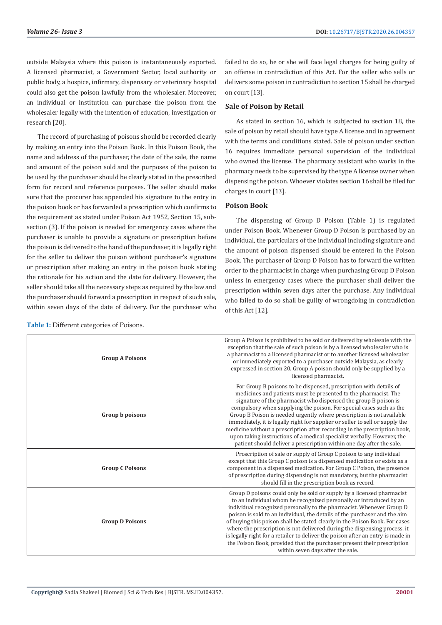outside Malaysia where this poison is instantaneously exported. A licensed pharmacist, a Government Sector, local authority or public body, a hospice, infirmary, dispensary or veterinary hospital could also get the poison lawfully from the wholesaler. Moreover, an individual or institution can purchase the poison from the wholesaler legally with the intention of education, investigation or research [20].

The record of purchasing of poisons should be recorded clearly by making an entry into the Poison Book. In this Poison Book, the name and address of the purchaser, the date of the sale, the name and amount of the poison sold and the purposes of the poison to be used by the purchaser should be clearly stated in the prescribed form for record and reference purposes. The seller should make sure that the procurer has appended his signature to the entry in the poison book or has forwarded a prescription which confirms to the requirement as stated under Poison Act 1952, Section 15, subsection (3). If the poison is needed for emergency cases where the purchaser is unable to provide a signature or prescription before the poison is delivered to the hand of the purchaser, it is legally right for the seller to deliver the poison without purchaser's signature or prescription after making an entry in the poison book stating the rationale for his action and the date for delivery. However, the seller should take all the necessary steps as required by the law and the purchaser should forward a prescription in respect of such sale, within seven days of the date of delivery. For the purchaser who

| Table 1: Different categories of Poisons. |  |  |  |
|-------------------------------------------|--|--|--|
|-------------------------------------------|--|--|--|

failed to do so, he or she will face legal charges for being guilty of an offense in contradiction of this Act. For the seller who sells or delivers some poison in contradiction to section 15 shall be charged on court [13].

# **Sale of Poison by Retail**

As stated in section 16, which is subjected to section 18, the sale of poison by retail should have type A license and in agreement with the terms and conditions stated. Sale of poison under section 16 requires immediate personal supervision of the individual who owned the license. The pharmacy assistant who works in the pharmacy needs to be supervised by the type A license owner when dispensing the poison. Whoever violates section 16 shall be filed for charges in court [13].

#### **Poison Book**

The dispensing of Group D Poison (Table 1) is regulated under Poison Book. Whenever Group D Poison is purchased by an individual, the particulars of the individual including signature and the amount of poison dispensed should be entered in the Poison Book. The purchaser of Group D Poison has to forward the written order to the pharmacist in charge when purchasing Group D Poison unless in emergency cases where the purchaser shall deliver the prescription within seven days after the purchase. Any individual who failed to do so shall be guilty of wrongdoing in contradiction of this Act [12].

| <b>Group A Poisons</b> | Group A Poison is prohibited to be sold or delivered by wholesale with the<br>exception that the sale of such poison is by a licensed wholesaler who is<br>a pharmacist to a licensed pharmacist or to another licensed wholesaler<br>or immediately exported to a purchaser outside Malaysia, as clearly<br>expressed in section 20. Group A poison should only be supplied by a<br>licensed pharmacist.                                                                                                                                                                                                                                                                |
|------------------------|--------------------------------------------------------------------------------------------------------------------------------------------------------------------------------------------------------------------------------------------------------------------------------------------------------------------------------------------------------------------------------------------------------------------------------------------------------------------------------------------------------------------------------------------------------------------------------------------------------------------------------------------------------------------------|
| Group b poisons        | For Group B poisons to be dispensed, prescription with details of<br>medicines and patients must be presented to the pharmacist. The<br>signature of the pharmacist who dispensed the group B poison is<br>compulsory when supplying the poison. For special cases such as the<br>Group B Poison is needed urgently where prescription is not available<br>immediately, it is legally right for supplier or seller to sell or supply the<br>medicine without a prescription after recording in the prescription book,<br>upon taking instructions of a medical specialist verbally. However, the<br>patient should deliver a prescription within one day after the sale. |
| <b>Group C Poisons</b> | Proscription of sale or supply of Group C poison to any individual<br>except that this Group C poison is a dispensed medication or exists as a<br>component in a dispensed medication. For Group C Poison, the presence<br>of prescription during dispensing is not mandatory, but the pharmacist<br>should fill in the prescription book as record.                                                                                                                                                                                                                                                                                                                     |
| <b>Group D Poisons</b> | Group D poisons could only be sold or supply by a licensed pharmacist<br>to an individual whom he recognized personally or introduced by an<br>individual recognized personally to the pharmacist. Whenever Group D<br>poison is sold to an individual, the details of the purchaser and the aim<br>of buying this poison shall be stated clearly in the Poison Book. For cases<br>where the prescription is not delivered during the dispensing process, it<br>is legally right for a retailer to deliver the poison after an entry is made in<br>the Poison Book, provided that the purchaser present their prescription<br>within seven days after the sale.          |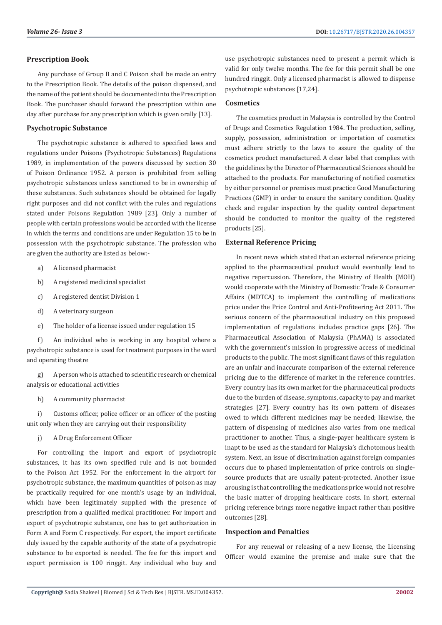# **Prescription Book**

Any purchase of Group B and C Poison shall be made an entry to the Prescription Book. The details of the poison dispensed, and the name of the patient should be documented into the Prescription Book. The purchaser should forward the prescription within one day after purchase for any prescription which is given orally [13].

# **Psychotropic Substance**

The psychotropic substance is adhered to specified laws and regulations under Poisons (Psychotropic Substances) Regulations 1989, in implementation of the powers discussed by section 30 of Poison Ordinance 1952. A person is prohibited from selling psychotropic substances unless sanctioned to be in ownership of these substances. Such substances should be obtained for legally right purposes and did not conflict with the rules and regulations stated under Poisons Regulation 1989 [23]. Only a number of people with certain professions would be accorded with the license in which the terms and conditions are under Regulation 15 to be in possession with the psychotropic substance. The profession who are given the authority are listed as below:-

- a) A licensed pharmacist
- b) A registered medicinal specialist
- c) A registered dentist Division 1
- d) A veterinary surgeon
- e) The holder of a license issued under regulation 15

f) An individual who is working in any hospital where a psychotropic substance is used for treatment purposes in the ward and operating theatre

g) A person who is attached to scientific research or chemical analysis or educational activities

h) A community pharmacist

i) Customs officer, police officer or an officer of the posting unit only when they are carrying out their responsibility

j) A Drug Enforcement Officer

For controlling the import and export of psychotropic substances, it has its own specified rule and is not bounded to the Poison Act 1952. For the enforcement in the airport for psychotropic substance, the maximum quantities of poison as may be practically required for one month's usage by an individual, which have been legitimately supplied with the presence of prescription from a qualified medical practitioner. For import and export of psychotropic substance, one has to get authorization in Form A and Form C respectively. For export, the import certificate duly issued by the capable authority of the state of a psychotropic substance to be exported is needed. The fee for this import and export permission is 100 ringgit. Any individual who buy and

use psychotropic substances need to present a permit which is valid for only twelve months. The fee for this permit shall be one hundred ringgit. Only a licensed pharmacist is allowed to dispense psychotropic substances [17,24].

#### **Cosmetics**

The cosmetics product in Malaysia is controlled by the Control of Drugs and Cosmetics Regulation 1984. The production, selling, supply, possession, administration or importation of cosmetics must adhere strictly to the laws to assure the quality of the cosmetics product manufactured. A clear label that complies with the guidelines by the Director of Pharmaceutical Sciences should be attached to the products. For manufacturing of notified cosmetics by either personnel or premises must practice Good Manufacturing Practices (GMP) in order to ensure the sanitary condition. Quality check and regular inspection by the quality control department should be conducted to monitor the quality of the registered products [25].

# **External Reference Pricing**

In recent news which stated that an external reference pricing applied to the pharmaceutical product would eventually lead to negative repercussion. Therefore, the Ministry of Health (MOH) would cooperate with the Ministry of Domestic Trade & Consumer Affairs (MDTCA) to implement the controlling of medications price under the Price Control and Anti-Profiteering Act 2011. The serious concern of the pharmaceutical industry on this proposed implementation of regulations includes practice gaps [26]. The Pharmaceutical Association of Malaysia (PhAMA) is associated with the government's mission in progressive access of medicinal products to the public. The most significant flaws of this regulation are an unfair and inaccurate comparison of the external reference pricing due to the difference of market in the reference countries. Every country has its own market for the pharmaceutical products due to the burden of disease, symptoms, capacity to pay and market strategies [27]. Every country has its own pattern of diseases owed to which different medicines may be needed; likewise, the pattern of dispensing of medicines also varies from one medical practitioner to another. Thus, a single-payer healthcare system is inapt to be used as the standard for Malaysia's dichotomous health system. Next, an issue of discrimination against foreign companies occurs due to phased implementation of price controls on singlesource products that are usually patent-protected. Another issue arousing is that controlling the medications price would not resolve the basic matter of dropping healthcare costs. In short, external pricing reference brings more negative impact rather than positive outcomes [28].

# **Inspection and Penalties**

For any renewal or releasing of a new license, the Licensing Officer would examine the premise and make sure that the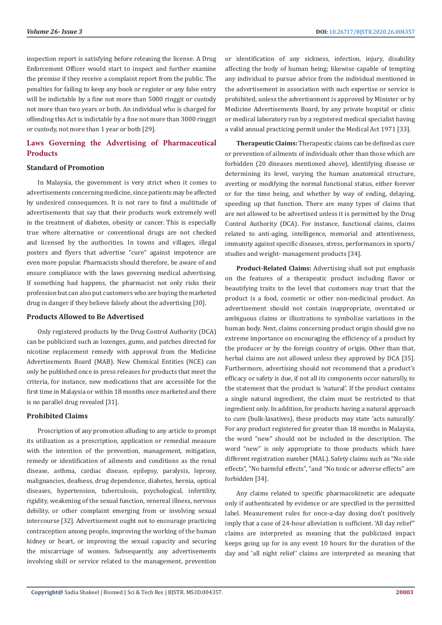inspection report is satisfying before releasing the license. A Drug Enforcement Officer would start to inspect and further examine the premise if they receive a complaint report from the public. The penalties for failing to keep any book or register or any false entry will be indictable by a fine not more than 5000 ringgit or custody not more than two years or both. An individual who is charged for offending this Act is indictable by a fine not more than 3000 ringgit or custody, not more than 1 year or both [29].

# **Laws Governing the Advertising of Pharmaceutical Products**

#### **Standard of Promotion**

In Malaysia, the government is very strict when it comes to advertisements concerning medicine, since patients may be affected by undesired consequences. It is not rare to find a multitude of advertisements that say that their products work extremely well in the treatment of diabetes, obesity or cancer. This is especially true where alternative or conventional drugs are not checked and licensed by the authorities. In towns and villages, illegal posters and flyers that advertise "cure" against impotence are even more popular. Pharmacists should therefore, be aware of and ensure compliance with the laws governing medical advertising. If something bad happens, the pharmacist not only risks their profession but can also put customers who are buying the marketed drug in danger if they believe falsely about the advertising [30].

#### **Products Allowed to Be Advertised**

Only registered products by the Drug Control Authority (DCA) can be publicized such as lozenges, gums, and patches directed for nicotine replacement remedy with approval from the Medicine Advertisements Board (MAB). New Chemical Entities (NCE) can only be published once in press releases for products that meet the criteria, for instance, new medications that are accessible for the first time in Malaysia or within 18 months once marketed and there is no parallel drug revealed [31].

# **Prohibited Claims**

Proscription of any promotion alluding to any article to prompt its utilization as a prescription, application or remedial measure with the intention of the prevention, management, mitigation, remedy or identification of ailments and conditions as the renal disease, asthma, cardiac disease, epilepsy, paralysis, leprosy, malignancies, deafness, drug dependence, diabetes, hernia, optical diseases, hypertension, tuberculosis, psychological, infertility, rigidity, weakening of the sexual function, venereal illness, nervous debility, or other complaint emerging from or involving sexual intercourse [32]. Advertisement ought not to encourage practicing contraception among people, improving the working of the human kidney or heart, or improving the sexual capacity and securing the miscarriage of women. Subsequently, any advertisements involving skill or service related to the management, prevention

or identification of any sickness, infection, injury, disability affecting the body of human being; likewise capable of tempting any individual to pursue advice from the individual mentioned in the advertisement in association with such expertise or service is prohibited, unless the advertisement is approved by Minister or by Medicine Advertisements Board, by any private hospital or clinic or medical laboratory run by a registered medical specialist having a valid annual practicing permit under the Medical Act 1971 [33].

**Therapeutic Claims:** Therapeutic claims can be defined as cure or prevention of ailments of individuals other than those which are forbidden (20 diseases mentioned above), identifying disease or determining its level, varying the human anatomical structure, averting or modifying the normal functional status, either forever or for the time being, and whether by way of ending, delaying, speeding up that function. There are many types of claims that are not allowed to be advertised unless it is permitted by the Drug Control Authority (DCA). For instance, functional claims, claims related to anti-aging, intelligence, memorial and attentiveness, immunity against specific diseases, stress, performances in sports/ studies and weight- management products [34].

**Product-Related Claims:** Advertising shall not put emphasis on the features of a therapeutic product including flavor or beautifying traits to the level that customers may trust that the product is a food, cosmetic or other non-medicinal product. An advertisement should not contain inappropriate, overstated or ambiguous claims or illustrations to symbolize variations in the human body. Next, claims concerning product origin should give no extreme importance on encouraging the efficiency of a product by the producer or by the foreign country of origin. Other than that, herbal claims are not allowed unless they approved by DCA [35]. Furthermore, advertising should not recommend that a product's efficacy or safety is due, if not all its components occur naturally, to the statement that the product is 'natural'. If the product contains a single natural ingredient, the claim must be restricted to that ingredient only. In addition, for products having a natural approach to cure (bulk-laxatives), these products may state 'acts naturally'. For any product registered for greater than 18 months in Malaysia, the word "new" should not be included in the description. The word "new" is only appropriate to those products which have different registration number (MAL). Safety claims such as "No side effects", "No harmful effects", "and "No toxic or adverse effects" are forbidden [34].

Any claims related to specific pharmacokinetic are adequate only if authenticated by evidence or are specified in the permitted label. Measurement rules for once-a-day dosing don't positively imply that a case of 24-hour alleviation is sufficient. 'All day relief'' claims are interpreted as meaning that the publicized impact keeps going up for in any event 10 hours for the duration of the day and 'all night relief' claims are interpreted as meaning that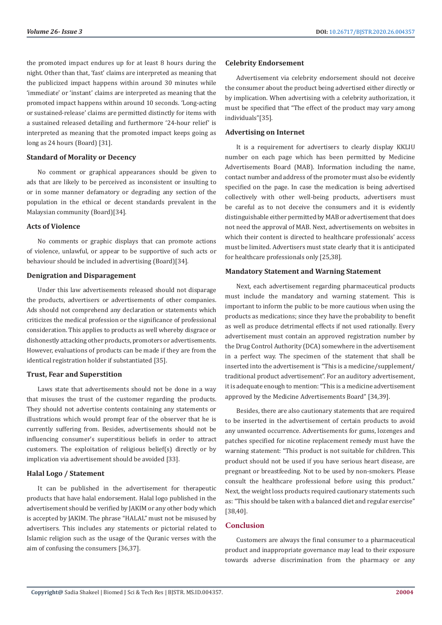the promoted impact endures up for at least 8 hours during the night. Other than that, 'fast' claims are interpreted as meaning that the publicized impact happens within around 30 minutes while 'immediate' or 'instant' claims are interpreted as meaning that the promoted impact happens within around 10 seconds. 'Long-acting or sustained-release' claims are permitted distinctly for items with a sustained released detailing and furthermore '24-hour relief' is interpreted as meaning that the promoted impact keeps going as long as 24 hours (Board) [31].

#### **Standard of Morality or Decency**

No comment or graphical appearances should be given to ads that are likely to be perceived as inconsistent or insulting to or in some manner defamatory or degrading any section of the population in the ethical or decent standards prevalent in the Malaysian community (Board)[34].

#### **Acts of Violence**

No comments or graphic displays that can promote actions of violence, unlawful, or appear to be supportive of such acts or behaviour should be included in advertising (Board)[34].

# **Denigration and Disparagement**

Under this law advertisements released should not disparage the products, advertisers or advertisements of other companies. Ads should not comprehend any declaration or statements which criticizes the medical profession or the significance of professional consideration. This applies to products as well whereby disgrace or dishonestly attacking other products, promoters or advertisements. However, evaluations of products can be made if they are from the identical registration holder if substantiated [35].

#### **Trust, Fear and Superstition**

Laws state that advertisements should not be done in a way that misuses the trust of the customer regarding the products. They should not advertise contents containing any statements or illustrations which would prompt fear of the observer that he is currently suffering from. Besides, advertisements should not be influencing consumer's superstitious beliefs in order to attract customers. The exploitation of religious belief(s) directly or by implication via advertisement should be avoided [33].

#### **Halal Logo / Statement**

It can be published in the advertisement for therapeutic products that have halal endorsement. Halal logo published in the advertisement should be verified by JAKIM or any other body which is accepted by JAKIM. The phrase "HALAL" must not be misused by advertisers. This includes any statements or pictorial related to Islamic religion such as the usage of the Quranic verses with the aim of confusing the consumers [36,37].

# **Celebrity Endorsement**

Advertisement via celebrity endorsement should not deceive the consumer about the product being advertised either directly or by implication. When advertising with a celebrity authorization, it must be specified that "The effect of the product may vary among individuals"[35].

#### **Advertising on Internet**

It is a requirement for advertisers to clearly display KKLIU number on each page which has been permitted by Medicine Advertisements Board (MAB). Information including the name, contact number and address of the promoter must also be evidently specified on the page. In case the medication is being advertised collectively with other well-being products, advertisers must be careful as to not deceive the consumers and it is evidently distinguishable either permitted by MAB or advertisement that does not need the approval of MAB. Next, advertisements on websites in which their content is directed to healthcare professionals' access must be limited. Advertisers must state clearly that it is anticipated for healthcare professionals only [25,38].

# **Mandatory Statement and Warning Statement**

Next, each advertisement regarding pharmaceutical products must include the mandatory and warning statement. This is important to inform the public to be more cautious when using the products as medications; since they have the probability to benefit as well as produce detrimental effects if not used rationally. Every advertisement must contain an approved registration number by the Drug Control Authority (DCA) somewhere in the advertisement in a perfect way. The specimen of the statement that shall be inserted into the advertisement is "This is a medicine/supplement/ traditional product advertisement". For an auditory advertisement, it is adequate enough to mention: "This is a medicine advertisement approved by the Medicine Advertisements Board" [34,39].

Besides, there are also cautionary statements that are required to be inserted in the advertisement of certain products to avoid any unwanted occurrence. Advertisements for gums, lozenges and patches specified for nicotine replacement remedy must have the warning statement: "This product is not suitable for children. This product should not be used if you have serious heart disease, are pregnant or breastfeeding. Not to be used by non-smokers. Please consult the healthcare professional before using this product." Next, the weight loss products required cautionary statements such as: "This should be taken with a balanced diet and regular exercise" [38,40].

# **Conclusion**

Customers are always the final consumer to a pharmaceutical product and inappropriate governance may lead to their exposure towards adverse discrimination from the pharmacy or any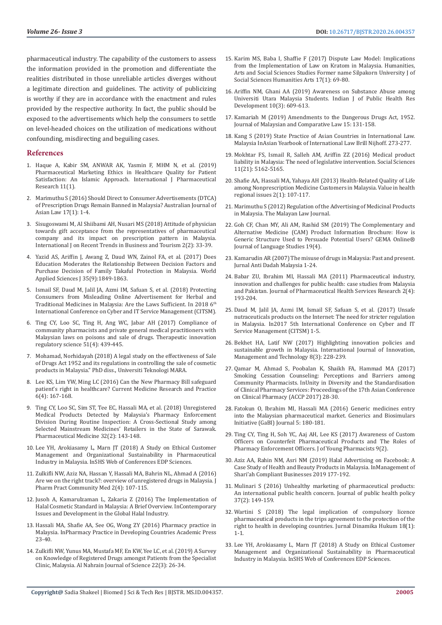pharmaceutical industry. The capability of the customers to assess the information provided in the promotion and differentiate the realities distributed in those unreliable articles diverges without a legitimate direction and guidelines. The activity of publicizing is worthy if they are in accordance with the enactment and rules provided by the respective authority. In fact, the public should be exposed to the advertisements which help the consumers to settle on level-headed choices on the utilization of medications without confounding, misdirecting and beguiling cases.

#### **References**

- 1. [Haque A, Kabir SM, ANWAR AK, Yasmin F, MHM N, et al. \(2019\)](https://www.researchgate.net/publication/335574851_Pharmaceutical_Marketing_Ethics_in_Healthcare_Quality_for_Patient_Satisfaction_An_Islamic_Approach)  [Pharmaceutical Marketing Ethics in Healthcare Quality for Patient](https://www.researchgate.net/publication/335574851_Pharmaceutical_Marketing_Ethics_in_Healthcare_Quality_for_Patient_Satisfaction_An_Islamic_Approach)  [Satisfaction: An Islamic Approach. International J Pharmaceutical](https://www.researchgate.net/publication/335574851_Pharmaceutical_Marketing_Ethics_in_Healthcare_Quality_for_Patient_Satisfaction_An_Islamic_Approach)  [Research 11\(1\).](https://www.researchgate.net/publication/335574851_Pharmaceutical_Marketing_Ethics_in_Healthcare_Quality_for_Patient_Satisfaction_An_Islamic_Approach)
- 2. [Marimuthu S \(2016\) Should Direct to Consumer Advertisements \(DTCA\)](https://papers.ssrn.com/sol3/papers.cfm?abstract_id=2802371)  [of Prescription Drugs Remain Banned in Malaysia? Australian Journal of](https://papers.ssrn.com/sol3/papers.cfm?abstract_id=2802371)  [Asian Law 17\(1\): 1-4.](https://papers.ssrn.com/sol3/papers.cfm?abstract_id=2802371)
- 3. [Sisugoswami M, Al Shiibami AH, Nusari MS \(2018\) Attitude of physician](http://ejournal.lucp.net/index.php/ijrtbt/article/view/226)  [towards gift acceptance from the representatives of pharmaceutical](http://ejournal.lucp.net/index.php/ijrtbt/article/view/226)  [company and its impact on prescription pattern in Malaysia.](http://ejournal.lucp.net/index.php/ijrtbt/article/view/226)  [International J on Recent Trends in Business and Tourism 2\(2\): 33-39.](http://ejournal.lucp.net/index.php/ijrtbt/article/view/226)
- 4. [Yazid AS, Ariffin J, Awang Z, Daud WN, Zainol FA, et al. \(2017\) Does](https://www.idosi.org/wasj/wasj35(9)17/30.pdf)  [Education Moderates the Relationship Between Decision Factors and](https://www.idosi.org/wasj/wasj35(9)17/30.pdf)  [Purchase Decision of Family Takaful Protection in Malaysia. World](https://www.idosi.org/wasj/wasj35(9)17/30.pdf)  [Applied Sciences J 35\(9\):1849-1863.](https://www.idosi.org/wasj/wasj35(9)17/30.pdf)
- 5. [Ismail SF, Daud M, Jalil JA, Azmi IM, Safuan S, et al. \(2018\) Protecting](https://ieeexplore.ieee.org/document/8674372)  [Consumers from Misleading Online Advertisement for Herbal and](https://ieeexplore.ieee.org/document/8674372)  [Traditional Medicines in Malaysia: Are the Laws Sufficient. In 2018 6](https://ieeexplore.ieee.org/document/8674372)th [International Conference on Cyber and IT Service Management \(CITSM\).](https://ieeexplore.ieee.org/document/8674372)
- 6. [Ting CY, Loo SC, Ting H, Ang WC, Jabar AH \(2017\) Compliance of](https://journals.sagepub.com/doi/10.1177/2168479017699531)  [community pharmacists and private general medical practitioners with](https://journals.sagepub.com/doi/10.1177/2168479017699531)  [Malaysian laws on poisons and sale of drugs. Therapeutic innovation](https://journals.sagepub.com/doi/10.1177/2168479017699531)  [regulatory science 51\(4\): 439-445.](https://journals.sagepub.com/doi/10.1177/2168479017699531)
- 7. [Mohamad, Norhidayah \(2018\) A legal study on the effectiveness of Sale](http://ir.uitm.edu.my/id/eprint/21902/)  [of Drugs Act 1952 and its regulations in controlling the sale of cosmetic](http://ir.uitm.edu.my/id/eprint/21902/)  [products in Malaysia." PhD diss., Universiti Teknologi MARA.](http://ir.uitm.edu.my/id/eprint/21902/)
- 8. [Lee KS, Lim YW, Ming LC \(2016\) Can the New Pharmacy Bill safeguard](https://www.researchgate.net/publication/305633574_Can_the_New_Pharmacy_Bill_safeguard_patient)  [patient's right in healthcare? Current Medicine Research and Practice](https://www.researchgate.net/publication/305633574_Can_the_New_Pharmacy_Bill_safeguard_patient)  [6\(4\): 167-168.](https://www.researchgate.net/publication/305633574_Can_the_New_Pharmacy_Bill_safeguard_patient)
- 9. [Ting CY, Loo SC, Sim ST, Tee EC, Hassali MA, et al. \(2018\) Unregistered](https://www.researchgate.net/publication/323810741_Unregistered_Medical_Products_Detected_by_Malaysia)  [Medical Products Detected by Malaysia's Pharmacy Enforcement](https://www.researchgate.net/publication/323810741_Unregistered_Medical_Products_Detected_by_Malaysia)  [Division During Routine Inspection: A Cross-Sectional Study among](https://www.researchgate.net/publication/323810741_Unregistered_Medical_Products_Detected_by_Malaysia)  [Selected Mainstream Medicines' Retailers in the State of Sarawak.](https://www.researchgate.net/publication/323810741_Unregistered_Medical_Products_Detected_by_Malaysia)  [Pharmaceutical Medicine 32\(2\): 143-148.](https://www.researchgate.net/publication/323810741_Unregistered_Medical_Products_Detected_by_Malaysia)
- 10. [Lee YH, Arokiasamy L, Marn JT \(2018\) A Study on Ethical Customer](https://www.shs-conferences.org/articles/shsconf/abs/2018/17/shsconf_iclm2018_04007/shsconf_iclm2018_04007.html)  [Management and Organizational Sustainability in Pharmaceutical](https://www.shs-conferences.org/articles/shsconf/abs/2018/17/shsconf_iclm2018_04007/shsconf_iclm2018_04007.html)  [Industry in Malaysia. InSHS Web of Conferences EDP Sciences.](https://www.shs-conferences.org/articles/shsconf/abs/2018/17/shsconf_iclm2018_04007/shsconf_iclm2018_04007.html)
- 11. [Zulkifli NW, Aziz NA, Hassan Y, Hassali MA, Bahrin NL, Ahmad A \(2016\)](https://pdfs.semanticscholar.org/e667/14657c934a438ac1de160196f751cce9a878.pdf)  [Are we on the right track?: overview of unregistered drugs in Malaysia. J](https://pdfs.semanticscholar.org/e667/14657c934a438ac1de160196f751cce9a878.pdf)  [Pharm Pract Community Med 2\(4\): 107-115.](https://pdfs.semanticscholar.org/e667/14657c934a438ac1de160196f751cce9a878.pdf)
- 12. [Jusoh A, Kamarulzaman L, Zakaria Z \(2016\) The Implementation of](https://www.researchgate.net/publication/304459042_The_Implementation_of_Halal_Cosmetic_Standard_in_Malaysia_A_Brief_Overview)  [Halal Cosmetic Standard in Malaysia: A Brief Overview. InContemporary](https://www.researchgate.net/publication/304459042_The_Implementation_of_Halal_Cosmetic_Standard_in_Malaysia_A_Brief_Overview)  [Issues and Development in the Global Halal Industry.](https://www.researchgate.net/publication/304459042_The_Implementation_of_Halal_Cosmetic_Standard_in_Malaysia_A_Brief_Overview)
- 13. [Hassali MA, Shafie AA, See OG, Wong ZY \(2016\) Pharmacy practice in](https://www.elsevier.com/books/pharmacy-practice-in-developing-countries/fathelrahman/978-0-12-801714-2)  [Malaysia. InPharmacy Practice in Developing Countries Academic Press](https://www.elsevier.com/books/pharmacy-practice-in-developing-countries/fathelrahman/978-0-12-801714-2)  [23-40.](https://www.elsevier.com/books/pharmacy-practice-in-developing-countries/fathelrahman/978-0-12-801714-2)
- 14. [Zulkifli NW, Yunus MA, Mustafa MF, En KW, Yee LC, et al. \(2019\) A Survey](https://www.researchgate.net/publication/337683204_A_Survey_on_Knowledge_of_Registered_Drugs_amongst_Patients_from_the_Specialist_Clinic_Malaysia)  [on Knowledge of Registered Drugs amongst Patients from the Specialist](https://www.researchgate.net/publication/337683204_A_Survey_on_Knowledge_of_Registered_Drugs_amongst_Patients_from_the_Specialist_Clinic_Malaysia)  [Clinic, Malaysia. Al Nahrain Journal of Science 22\(3\): 26-34.](https://www.researchgate.net/publication/337683204_A_Survey_on_Knowledge_of_Registered_Drugs_amongst_Patients_from_the_Specialist_Clinic_Malaysia)
- 15. [Karim MS, Baba I, Shaffie F \(2017\) Dispute Law Model: Implications](https://so02.tci-thaijo.org/index.php/hasss/article/view/84261) [from the Implementation of Law on Kratom in Malaysia. Humanities,](https://so02.tci-thaijo.org/index.php/hasss/article/view/84261) [Arts and Social Sciences Studies Former name Silpakorn University J of](https://so02.tci-thaijo.org/index.php/hasss/article/view/84261) [Social Sciences Humanities Arts 17\(1\): 69-80.](https://so02.tci-thaijo.org/index.php/hasss/article/view/84261)
- 16. [Ariffin NM, Ghani AA \(2019\) Awareness on Substance Abuse among](https://www.researchgate.net/publication/331900004_Awareness_on_Substance_Abuse_among_Universiti_Utara_Malaysia_Students) [Universiti Utara Malaysia Students. Indian J of Public Health Res](https://www.researchgate.net/publication/331900004_Awareness_on_Substance_Abuse_among_Universiti_Utara_Malaysia_Students) [Development 10\(3\): 609-613.](https://www.researchgate.net/publication/331900004_Awareness_on_Substance_Abuse_among_Universiti_Utara_Malaysia_Students)
- 17. Kamariah M (2019) Amendments to the Dangerous Drugs Act, 1952. Journal of Malaysian and Comparative Law 15: 131-158.
- 18. [Kang S \(2019\) State Practice of Asian Countries in International Law.](https://brill.com/view/book/edcoll/9789004415829/BP000018.xml) [Malaysia InAsian Yearbook of International Law Brill Nijhoff. 273-277.](https://brill.com/view/book/edcoll/9789004415829/BP000018.xml)
- 19. [Mokhtar FS, Ismail R, Salleh AM, Ariffin ZZ \(2016\) Medical product](https://ukm.pure.elsevier.com/en/publications/medical-product-liability-in-malaysia-the-need-of-legislative-int) [liability in Malaysia: The need of legislative intervention. Social Sciences](https://ukm.pure.elsevier.com/en/publications/medical-product-liability-in-malaysia-the-need-of-legislative-int) [11\(21\): 5162-5165.](https://ukm.pure.elsevier.com/en/publications/medical-product-liability-in-malaysia-the-need-of-legislative-int)
- 20. Shafie AA, Hassali MA, Yahaya AH (2013) Health-Related Quality of Life among Nonprescription Medicine Customers in Malaysia. Value in health regional issues 2(1): 107-117.
- 21. [Marimuthu S \(2012\) Regulation of the Advertising of Medicinal Products](https://www.researchgate.net/publication/309770769_Regulation_for_Advertising_Medicinal_Products_in_Malaysia) [in Malaysia. The Malayan Law Journal.](https://www.researchgate.net/publication/309770769_Regulation_for_Advertising_Medicinal_Products_in_Malaysia)
- 22. [Goh CF, Chan MY, Ali AM, Rashid SM \(2019\) The Complementary and](https://www.researchgate.net/publication/337568819_The_Complementary_and_Alternative_Medicine_CAM_Product_Information_Brochure_How_is_Generic_Structure_Used_to_Persuade_Potential_Users) [Alternative Medicine \(CAM\) Product Information Brochure: How is](https://www.researchgate.net/publication/337568819_The_Complementary_and_Alternative_Medicine_CAM_Product_Information_Brochure_How_is_Generic_Structure_Used_to_Persuade_Potential_Users) [Generic Structure Used to Persuade Potential Users? GEMA Online®](https://www.researchgate.net/publication/337568819_The_Complementary_and_Alternative_Medicine_CAM_Product_Information_Brochure_How_is_Generic_Structure_Used_to_Persuade_Potential_Users) [Journal of Language Studies 19\(4\).](https://www.researchgate.net/publication/337568819_The_Complementary_and_Alternative_Medicine_CAM_Product_Information_Brochure_How_is_Generic_Structure_Used_to_Persuade_Potential_Users)
- 23. [Kamarudin AR \(2007\) The misuse of drugs in Malaysia: Past and present.](http://irep.iium.edu.my/8094/) [Jurnal Anti Dadah Malaysia 1-24.](http://irep.iium.edu.my/8094/)
- 24. [Babar ZU, Ibrahim MI, Hassali MA \(2011\) Pharmaceutical industry,](https://www.researchgate.net/publication/264638132_Pharmaceutical_industry_innovation_and_challenges_for_public_health_Case_studies_from_Malaysia_and_Pakistan) [innovation and challenges for public health: case studies from Malaysia](https://www.researchgate.net/publication/264638132_Pharmaceutical_industry_innovation_and_challenges_for_public_health_Case_studies_from_Malaysia_and_Pakistan) [and Pakistan. Journal of Pharmaceutical Health Services Research 2\(4\):](https://www.researchgate.net/publication/264638132_Pharmaceutical_industry_innovation_and_challenges_for_public_health_Case_studies_from_Malaysia_and_Pakistan) [193-204.](https://www.researchgate.net/publication/264638132_Pharmaceutical_industry_innovation_and_challenges_for_public_health_Case_studies_from_Malaysia_and_Pakistan)
- 25. [Daud M, Jalil JA, Azmi IM, Ismail SF, Safuan S, et al. \(2017\) Unsafe](https://ieeexplore.ieee.org/document/8089269) [nutraceuticals products on the Internet: The need for stricter regulation](https://ieeexplore.ieee.org/document/8089269) [in Malaysia. In2017 5th International Conference on Cyber and IT](https://ieeexplore.ieee.org/document/8089269) [Service Management \(CITSM\) 1-5.](https://ieeexplore.ieee.org/document/8089269)
- 26. [Bekhet HA, Latif NW \(2017\) Highlighting innovation policies and](https://www.researchgate.net/publication/317717224_Highlighting_Innovation_Policies_and_Sustainable_Growth_in_Malaysia) [sustainable growth in Malaysia. International Journal of Innovation,](https://www.researchgate.net/publication/317717224_Highlighting_Innovation_Policies_and_Sustainable_Growth_in_Malaysia) [Management and Technology 8\(3\): 228-239.](https://www.researchgate.net/publication/317717224_Highlighting_Innovation_Policies_and_Sustainable_Growth_in_Malaysia)
- 27. [Qamar M, Ahmad S, Poobalan K, Shaikh FA, Hammad MA \(2017\)](https://www.taylorfrancis.com/books/e/9781315112756/chapters/10.1201/9781315112756-41) [Smoking Cessation Counseling: Perceptions and Barriers among](https://www.taylorfrancis.com/books/e/9781315112756/chapters/10.1201/9781315112756-41) [Community Pharmacists. InUnity in Diversity and the Standardisation](https://www.taylorfrancis.com/books/e/9781315112756/chapters/10.1201/9781315112756-41) [of Clinical Pharmacy Services: Proceedings of the 17th Asian Conference](https://www.taylorfrancis.com/books/e/9781315112756/chapters/10.1201/9781315112756-41) [on Clinical Pharmacy \(ACCP 2017\) 28-30.](https://www.taylorfrancis.com/books/e/9781315112756/chapters/10.1201/9781315112756-41)
- 28. [Fatokun O, Ibrahim MI, Hassali MA \(2016\) Generic medicines entry](http://gabi-journal.net/generic-medicines-entry-into-the-malaysian-pharmaceutical-market.html) [into the Malaysian pharmaceutical market. Generics and Biosimulars](http://gabi-journal.net/generic-medicines-entry-into-the-malaysian-pharmaceutical-market.html) [Initiative \(GaBI\) Journal 5: 180-181.](http://gabi-journal.net/generic-medicines-entry-into-the-malaysian-pharmaceutical-market.html)
- 29. [Ting CY, Ting H, Soh YC, Aaj AH, Lee KS \(2017\) Awareness of Custom](http://www.jyoungpharm.org/article/995) [Officers on Counterfeit Pharmaceutical Products and The Roles of](http://www.jyoungpharm.org/article/995) [Pharmacy Enforcement Officers. J of Young Pharmacists 9\(2\).](http://www.jyoungpharm.org/article/995)
- 30. [Aziz AA, Rahin NM, Asri NM \(2019\) Halal Advertising on Facebook: A](https://www.springerprofessional.de/en/halal-advertising-on-facebook-a-case-study-of-health-and-beauty-/16557650) [Case Study of Health and Beauty Products in Malaysia. InManagement of](https://www.springerprofessional.de/en/halal-advertising-on-facebook-a-case-study-of-health-and-beauty-/16557650) [Shari'ah Compliant Businesses 2019 177-192.](https://www.springerprofessional.de/en/halal-advertising-on-facebook-a-case-study-of-health-and-beauty-/16557650)
- 31. [Mulinari S \(2016\) Unhealthy marketing of pharmaceutical products:](https://www.ncbi.nlm.nih.gov/pubmed/26911654) [An international public health concern. Journal of public health policy](https://www.ncbi.nlm.nih.gov/pubmed/26911654) [37\(2\): 149-159.](https://www.ncbi.nlm.nih.gov/pubmed/26911654)
- 32. [Wartini S \(2018\) The legal implication of compulsory licence](https://www.researchgate.net/publication/324036232_THE_LEGAL_IMPLICATION_OF_COMPULSORY_LICENCE_PHARMACEUTICAL_PRODUCTS_IN_THE_TRIPs_AGREEMENT_TO_THE_PROTECTION_OF_THE_RIGHT_TO_HEALTH_IN_DEVELOPING_COUNTRIES) [pharmaceutical products in the trips agreement to the protection of the](https://www.researchgate.net/publication/324036232_THE_LEGAL_IMPLICATION_OF_COMPULSORY_LICENCE_PHARMACEUTICAL_PRODUCTS_IN_THE_TRIPs_AGREEMENT_TO_THE_PROTECTION_OF_THE_RIGHT_TO_HEALTH_IN_DEVELOPING_COUNTRIES) [right to health in developing countries. Jurnal Dinamika Hukum 18\(1\):](https://www.researchgate.net/publication/324036232_THE_LEGAL_IMPLICATION_OF_COMPULSORY_LICENCE_PHARMACEUTICAL_PRODUCTS_IN_THE_TRIPs_AGREEMENT_TO_THE_PROTECTION_OF_THE_RIGHT_TO_HEALTH_IN_DEVELOPING_COUNTRIES) [1-1.](https://www.researchgate.net/publication/324036232_THE_LEGAL_IMPLICATION_OF_COMPULSORY_LICENCE_PHARMACEUTICAL_PRODUCTS_IN_THE_TRIPs_AGREEMENT_TO_THE_PROTECTION_OF_THE_RIGHT_TO_HEALTH_IN_DEVELOPING_COUNTRIES)
- 33. [Lee YH, Arokiasamy L, Marn JT \(2018\) A Study on Ethical Customer](https://www.researchgate.net/publication/328936379_A_Study_on_Ethical_Customer_Management_and_Organizational_Sustainability_in_Pharmaceutical_Industry_in_Malaysia) [Management and Organizational Sustainability in Pharmaceutical](https://www.researchgate.net/publication/328936379_A_Study_on_Ethical_Customer_Management_and_Organizational_Sustainability_in_Pharmaceutical_Industry_in_Malaysia) [Industry in Malaysia. InSHS Web of Conferences EDP Sciences.](https://www.researchgate.net/publication/328936379_A_Study_on_Ethical_Customer_Management_and_Organizational_Sustainability_in_Pharmaceutical_Industry_in_Malaysia)